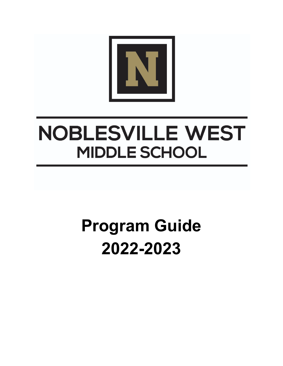

# **NOBLESVILLE WEST MIDDLE SCHOOL**

# **Program Guide 2022-2023**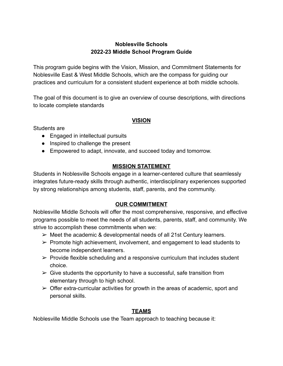# **Noblesville Schools 2022-23 Middle School Program Guide**

This program guide begins with the Vision, Mission, and Commitment Statements for Noblesville East & West Middle Schools, which are the compass for guiding our practices and curriculum for a consistent student experience at both middle schools.

The goal of this document is to give an overview of course descriptions, with directions to locate complete standards

# **VISION**

Students are

- Engaged in intellectual pursuits
- Inspired to challenge the present
- Empowered to adapt, innovate, and succeed today and tomorrow.

# **MISSION STATEMENT**

Students in Noblesville Schools engage in a learner-centered culture that seamlessly integrates future-ready skills through authentic, interdisciplinary experiences supported by strong relationships among students, staff, parents, and the community.

# **OUR COMMITMENT**

Noblesville Middle Schools will offer the most comprehensive, responsive, and effective programs possible to meet the needs of all students, parents, staff, and community. We strive to accomplish these commitments when we:

- $\triangleright$  Meet the academic & developmental needs of all 21st Century learners.
- $\triangleright$  Promote high achievement, involvement, and engagement to lead students to become independent learners.
- $\triangleright$  Provide flexible scheduling and a responsive curriculum that includes student choice.
- $\triangleright$  Give students the opportunity to have a successful, safe transition from elementary through to high school.
- $\triangleright$  Offer extra-curricular activities for growth in the areas of academic, sport and personal skills.

# **TEAMS**

Noblesville Middle Schools use the Team approach to teaching because it: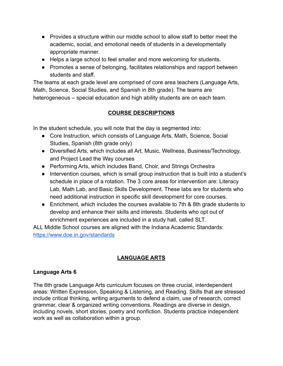- Provides a structure within our middle school to allow staff to better meet the academic, social, and emotional needs of students in a developmentally appropriate manner.
- Helps a large school to feel smaller and more welcoming for students.
- Promotes a sense of belonging, facilitates relationships and rapport between students and staff.

The teams at each grade level are comprised of core area teachers (Language Arts, Math, Science, Social Studies, and Spanish in 8th grade). The teams are heterogeneous – special education and high ability students are on each team.

# **COURSE DESCRIPTIONS**

In the student schedule, you will note that the day is segmented into:

- Core Instruction, which consists of Language Arts, Math, Science, Social Studies, Spanish (8th grade only)
- Diversified Arts, which includes all Art, Music, Wellness, Business/Technology, and Project Lead the Way courses
- Performing Arts, which includes Band, Choir, and Strings Orchestra
- Intervention courses, which is small group instruction that is built into a student's schedule in place of a rotation. The 3 core areas for intervention are: Literacy Lab, Math Lab, and Basic Skills Development. These labs are for students who need additional instruction in specific skill development for core courses.
- Enrichment, which includes the courses available to 7th & 8th grade students to develop and enhance their skills and interests. Students who opt out of enrichment experiences are included in a study hall, called SLT.

ALL Middle School courses are aligned with the Indiana Academic Standards: <https://www.doe.in.gov/standards>

# **LANGUAGE ARTS**

# **Language Arts 6**

The 6th grade Language Arts curriculum focuses on three crucial, interdependent areas: Written Expression, Speaking & Listening, and Reading. Skills that are stressed include critical thinking, writing arguments to defend a claim, use of research, correct grammar, clear & organized writing conventions. Readings are diverse in design, including novels, short stories, poetry and nonfiction. Students practice independent work as well as collaboration within a group.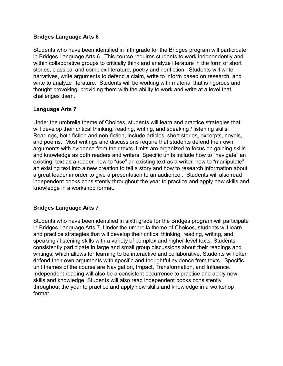## **Bridges Language Arts 6**

Students who have been identified in fifth grade for the Bridges program will participate in Bridges Language Arts 6. This course requires students to work independently and within collaborative groups to critically think and analyze literature in the form of short stories, classical and complex literature, poetry and nonfiction. Students will write narratives, write arguments to defend a claim, write to inform based on research, and write to analyze literature. Students will be working with material that is rigorous and thought provoking, providing them with the ability to work and write at a level that challenges them.

## **Language Arts 7**

Under the umbrella theme of Choices, students will learn and practice strategies that will develop their critical thinking, reading, writing, and speaking / listening skills. Readings, both fiction and non-fiction, include articles, short stories, excerpts, novels, and poems. Most writings and discussions require that students defend their own arguments with evidence from their texts. Units are organized to focus on gaining skills and knowledge as both readers and writers. Specific units include how to "navigate" an existing text as a reader, how to "use" an existing text as a writer, how to "manipulate" an existing text into a new creation to tell a story and how to research information about a great leader in order to give a presentation to an audience . Students will also read independent books consistently throughout the year to practice and apply new skills and knowledge in a workshop format.

## **Bridges Language Arts 7**

Students who have been identified in sixth grade for the Bridges program will participate in Bridges Language Arts 7. Under the umbrella theme of Choices, students will learn and practice strategies that will develop their critical thinking, reading, writing, and speaking / listening skills with a variety of complex and higher-level texts. Students consistently participate in large and small group discussions about their readings and writings, which allows for learning to be interactive and collaborative. Students will often defend their own arguments with specific and thoughtful evidence from texts. Specific unit themes of the course are Navigation, Impact, Transformation, and Influence. Independent reading will also be a consistent occurrence to practice and apply new skills and knowledge. Students will also read independent books consistently throughout the year to practice and apply new skills and knowledge in a workshop format.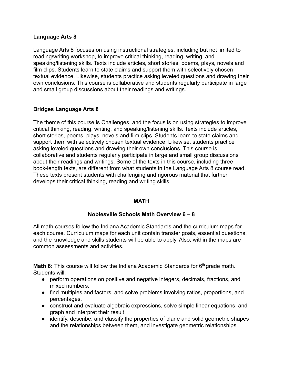### **Language Arts 8**

Language Arts 8 focuses on using instructional strategies, including but not limited to reading/writing workshop, to improve critical thinking, reading, writing, and speaking/listening skills. Texts include articles, short stories, poems, plays, novels and film clips. Students learn to state claims and support them with selectively chosen textual evidence. Likewise, students practice asking leveled questions and drawing their own conclusions. This course is collaborative and students regularly participate in large and small group discussions about their readings and writings.

## **Bridges Language Arts 8**

The theme of this course is Challenges, and the focus is on using strategies to improve critical thinking, reading, writing, and speaking/listening skills. Texts include articles, short stories, poems, plays, novels and film clips. Students learn to state claims and support them with selectively chosen textual evidence. Likewise, students practice asking leveled questions and drawing their own conclusions. This course is collaborative and students regularly participate in large and small group discussions about their readings and writings. Some of the texts in this course, including three book-length texts, are different from what students in the Language Arts 8 course read. These texts present students with challenging and rigorous material that further develops their critical thinking, reading and writing skills.

## **MATH**

## **Noblesville Schools Math Overview 6 – 8**

All math courses follow the Indiana Academic Standards and the curriculum maps for each course. Curriculum maps for each unit contain transfer goals, essential questions, and the knowledge and skills students will be able to apply. Also, within the maps are common assessments and activities.

**Math 6:** This course will follow the Indiana Academic Standards for 6<sup>th</sup> grade math. Students will:

- perform operations on positive and negative integers, decimals, fractions, and mixed numbers.
- find multiples and factors, and solve problems involving ratios, proportions, and percentages.
- construct and evaluate algebraic expressions, solve simple linear equations, and graph and interpret their result.
- identify, describe, and classify the properties of plane and solid geometric shapes and the relationships between them, and investigate geometric relationships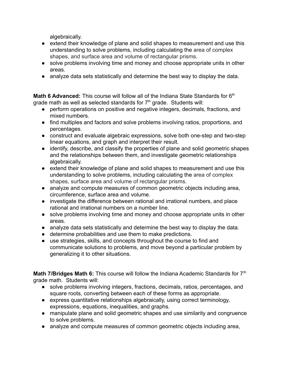algebraically.

- extend their knowledge of plane and solid shapes to measurement and use this understanding to solve problems, including calculating the area of complex shapes, and surface area and volume of rectangular prisms.
- solve problems involving time and money and choose appropriate units in other areas.
- analyze data sets statistically and determine the best way to display the data.

**Math 6 Advanced:** This course will follow all of the Indiana State Standards for 6<sup>th</sup> grade math as well as selected standards for  $7<sup>th</sup>$  grade. Students will:

- perform operations on positive and negative integers, decimals, fractions, and mixed numbers.
- find multiples and factors and solve problems involving ratios, proportions, and percentages.
- construct and evaluate algebraic expressions, solve both one-step and two-step linear equations, and graph and interpret their result.
- identify, describe, and classify the properties of plane and solid geometric shapes and the relationships between them, and investigate geometric relationships algebraically.
- extend their knowledge of plane and solid shapes to measurement and use this understanding to solve problems, including calculating the area of complex shapes, surface area and volume of rectangular prisms.
- analyze and compute measures of common geometric objects including area, circumference, surface area and volume.
- investigate the difference between rational and irrational numbers, and place rational and irrational numbers on a number line.
- solve problems involving time and money and choose appropriate units in other areas.
- analyze data sets statistically and determine the best way to display the data.
- determine probabilities and use them to make predictions.
- use strategies, skills, and concepts throughout the course to find and communicate solutions to problems, and move beyond a particular problem by generalizing it to other situations.

**Math 7/Bridges Math 6:** This course will follow the Indiana Academic Standards for 7<sup>th</sup> grade math. Students will:

- solve problems involving integers, fractions, decimals, ratios, percentages, and square roots, converting between each of these forms as appropriate.
- express quantitative relationships algebraically, using correct terminology, expressions, equations, inequalities, and graphs.
- manipulate plane and solid geometric shapes and use similarity and congruence to solve problems.
- analyze and compute measures of common geometric objects including area,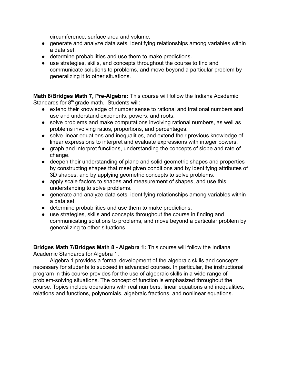circumference, surface area and volume.

- generate and analyze data sets, identifying relationships among variables within a data set.
- determine probabilities and use them to make predictions.
- use strategies, skills, and concepts throughout the course to find and communicate solutions to problems, and move beyond a particular problem by generalizing it to other situations.

**Math 8/Bridges Math 7, Pre-Algebra:** This course will follow the Indiana Academic Standards for  $8<sup>th</sup>$  grade math. Students will:

- extend their knowledge of number sense to rational and irrational numbers and use and understand exponents, powers, and roots.
- solve problems and make computations involving rational numbers, as well as problems involving ratios, proportions, and percentages.
- solve linear equations and inequalities, and extend their previous knowledge of linear expressions to interpret and evaluate expressions with integer powers.
- graph and interpret functions, understanding the concepts of slope and rate of change.
- deepen their understanding of plane and solid geometric shapes and properties by constructing shapes that meet given conditions and by identifying attributes of 3D shapes, and by applying geometric concepts to solve problems.
- apply scale factors to shapes and measurement of shapes, and use this understanding to solve problems.
- generate and analyze data sets, identifying relationships among variables within a data set.
- determine probabilities and use them to make predictions.
- use strategies, skills and concepts throughout the course in finding and communicating solutions to problems, and move beyond a particular problem by generalizing to other situations.

**Bridges Math 7/Bridges Math 8 - Algebra 1:** This course will follow the Indiana Academic Standards for Algebra 1.

Algebra 1 provides a formal development of the algebraic skills and concepts necessary for students to succeed in advanced courses. In particular, the instructional program in this course provides for the use of algebraic skills in a wide range of problem-solving situations. The concept of function is emphasized throughout the course. Topics include operations with real numbers, linear equations and inequalities, relations and functions, polynomials, algebraic fractions, and nonlinear equations.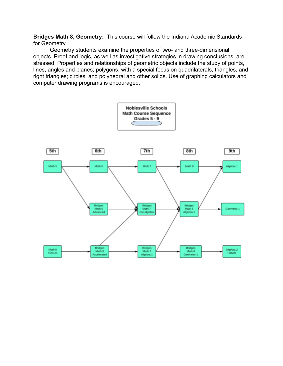**Bridges Math 8, Geometry:** This course will follow the Indiana Academic Standards for Geometry.

Geometry students examine the properties of two- and three-dimensional objects. Proof and logic, as well as investigative strategies in drawing conclusions, are stressed. Properties and relationships of geometric objects include the study of points, lines, angles and planes; polygons, with a special focus on quadrilaterals, triangles, and right triangles; circles; and polyhedral and other solids. Use of graphing calculators and computer drawing programs is encouraged.

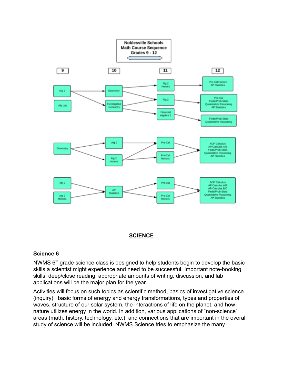

#### **SCIENCE**

#### **Science 6**

NWMS  $6<sup>th</sup>$  grade science class is designed to help students begin to develop the basic skills a scientist might experience and need to be successful. Important note-booking skills, deep/close reading, appropriate amounts of writing, discussion, and lab applications will be the major plan for the year.

Activities will focus on such topics as scientific method, basics of investigative science (inquiry), basic forms of energy and energy transformations, types and properties of waves, structure of our solar system, the interactions of life on the planet, and how nature utilizes energy in the world. In addition, various applications of "non-science" areas (math, history, technology, etc.), and connections that are important in the overall study of science will be included. NWMS Science tries to emphasize the many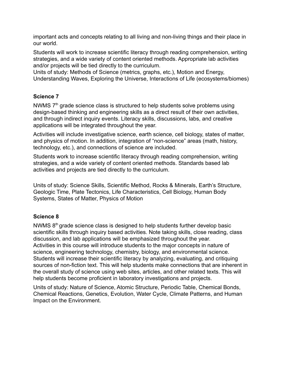important acts and concepts relating to all living and non-living things and their place in our world.

Students will work to increase scientific literacy through reading comprehension, writing strategies, and a wide variety of content oriented methods. Appropriate lab activities and/or projects will be tied directly to the curriculum.

Units of study: Methods of Science (metrics, graphs, etc.), Motion and Energy, Understanding Waves, Exploring the Universe, Interactions of Life (ecosystems/biomes)

# **Science 7**

NWMS  $7<sup>th</sup>$  grade science class is structured to help students solve problems using design-based thinking and engineering skills as a direct result of their own activities, and through indirect inquiry events. Literacy skills, discussions, labs, and creative applications will be integrated throughout the year.

Activities will include investigative science, earth science, cell biology, states of matter, and physics of motion. In addition, integration of "non-science" areas (math, history, technology, etc.), and connections of science are included.

Students work to increase scientific literacy through reading comprehension, writing strategies, and a wide variety of content oriented methods. Standards based lab activities and projects are tied directly to the curriculum.

Units of study: Science Skills, Scientific Method, Rocks & Minerals, Earth's Structure, Geologic Time, Plate Tectonics, Life Characteristics, Cell Biology, Human Body Systems, States of Matter, Physics of Motion

# **Science 8**

NWMS  $8<sup>th</sup>$  grade science class is designed to help students further develop basic scientific skills through inquiry based activities. Note taking skills, close reading, class discussion, and lab applications will be emphasized throughout the year. Activities in this course will introduce students to the major concepts in nature of science, engineering technology, chemistry, biology, and environmental science. Students will increase their scientific literacy by analyzing, evaluating, and critiquing sources of non-fiction text. This will help students make connections that are inherent in the overall study of science using web sites, articles, and other related texts. This will help students become proficient in laboratory investigations and projects.

Units of study: Nature of Science, Atomic Structure, Periodic Table, Chemical Bonds, Chemical Reactions, Genetics, Evolution, Water Cycle, Climate Patterns, and Human Impact on the Environment.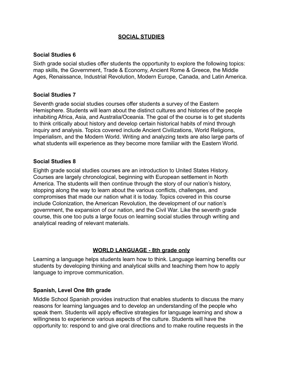## **SOCIAL STUDIES**

## **Social Studies 6**

Sixth grade social studies offer students the opportunity to explore the following topics: map skills, the Government, Trade & Economy, Ancient Rome & Greece, the Middle Ages, Renaissance, Industrial Revolution, Modern Europe, Canada, and Latin America.

## **Social Studies 7**

Seventh grade social studies courses offer students a survey of the Eastern Hemisphere. Students will learn about the distinct cultures and histories of the people inhabiting Africa, Asia, and Australia/Oceania. The goal of the course is to get students to think critically about history and develop certain historical habits of mind through inquiry and analysis. Topics covered include Ancient Civilizations, World Religions, Imperialism, and the Modern World. Writing and analyzing texts are also large parts of what students will experience as they become more familiar with the Eastern World.

## **Social Studies 8**

Eighth grade social studies courses are an introduction to United States History. Courses are largely chronological, beginning with European settlement in North America. The students will then continue through the story of our nation's history, stopping along the way to learn about the various conflicts, challenges, and compromises that made our nation what it is today. Topics covered in this course include Colonization, the American Revolution, the development of our nation's government, the expansion of our nation, and the Civil War. Like the seventh grade course, this one too puts a large focus on learning social studies through writing and analytical reading of relevant materials.

## **WORLD LANGUAGE - 8th grade only**

Learning a language helps students learn how to think. Language learning benefits our students by developing thinking and analytical skills and teaching them how to apply language to improve communication.

## **Spanish, Level One 8th grade**

Middle School Spanish provides instruction that enables students to discuss the many reasons for learning languages and to develop an understanding of the people who speak them. Students will apply effective strategies for language learning and show a willingness to experience various aspects of the culture. Students will have the opportunity to: respond to and give oral directions and to make routine requests in the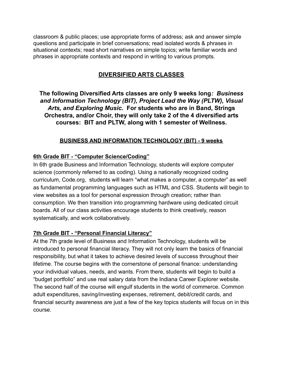classroom & public places; use appropriate forms of address; ask and answer simple questions and participate in brief conversations; read isolated words & phrases in situational contexts; read short narratives on simple topics; write familiar words and phrases in appropriate contexts and respond in writing to various prompts.

# **DIVERSIFIED ARTS CLASSES**

**The following Diversified Arts classes are only 9 weeks long***: Business and Information Technology (BIT), Project Lead the Way (PLTW), Visual Arts, and Exploring Music.* **For students who are in Band, Strings Orchestra, and/or Choir, they will only take 2 of the 4 diversified arts courses: BIT and PLTW, along with 1 semester of Wellness.**

# **BUSINESS AND INFORMATION TECHNOLOGY (BIT) - 9 weeks**

# **6th Grade BIT - "Computer Science/Coding"**

In 6th grade Business and Information Technology, students will explore computer science (commonly referred to as coding). Using a nationally recognized coding curriculum, Code.org, students will learn "what makes a computer, a computer" as well as fundamental programming languages such as HTML and CSS. Students will begin to view websites as a tool for personal expression through creation; rather than consumption. We then transition into programming hardware using dedicated circuit boards. All of our class activities encourage students to think creatively, reason systematically, and work collaboratively.

# **7th Grade BIT - "Personal Financial Literacy"**

At the 7th grade level of Business and Information Technology, students will be introduced to personal financial literacy. They will not only learn the basics of financial responsibility, but what it takes to achieve desired levels of success throughout their lifetime. The course begins with the cornerstone of personal finance: understanding your individual values, needs, and wants. From there, students will begin to build a "budget portfolio" and use real salary data from the Indiana Career Explorer website. The second half of the course will engulf students in the world of commerce. Common adult expenditures, saving/investing expenses, retirement, debit/credit cards, and financial security awareness are just a few of the key topics students will focus on in this course.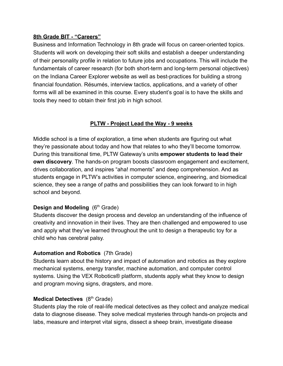## **8th Grade BIT - "Careers"**

Business and Information Technology in 8th grade will focus on career-oriented topics. Students will work on developing their soft skills and establish a deeper understanding of their personality profile in relation to future jobs and occupations. This will include the fundamentals of career research (for both short-term and long-term personal objectives) on the Indiana Career Explorer website as well as best-practices for building a strong financial foundation. Résumés, interview tactics, applications, and a variety of other forms will all be examined in this course. Every student's goal is to have the skills and tools they need to obtain their first job in high school.

# **PLTW - Project Lead the Way - 9 weeks**

Middle school is a time of exploration, a time when students are figuring out what they're passionate about today and how that relates to who they'll become tomorrow. During this transitional time, PLTW Gateway's units **empower students to lead their own discovery**. The hands-on program boosts classroom engagement and excitement, drives collaboration, and inspires "aha! moments" and deep comprehension. And as students engage in PLTW's activities in computer science, engineering, and biomedical science, they see a range of paths and possibilities they can look forward to in high school and beyond.

# **[Design and Modeling](https://www.pltw.org/our-programs/pltw-gateway-curriculum#curriculum-1)** (6<sup>th</sup> Grade)

Students discover the design process and develop an understanding of the influence of creativity and innovation in their lives. They are then challenged and empowered to use and apply what they've learned throughout the unit to design a therapeutic toy for a child who has cerebral palsy.

# **[Automation and Robotics](https://www.pltw.org/our-programs/pltw-gateway-curriculum#curriculum-2)** (7th Grade)

Students learn about the history and impact of automation and robotics as they explore mechanical systems, energy transfer, machine automation, and computer control systems. Using the VEX Robotics® platform, students apply what they know to design and program moving signs, dragsters, and more.

# **[Medical Detectives](https://www.pltw.org/our-programs/pltw-gateway-curriculum#curriculum-10)** (8<sup>th</sup> Grade)

Students play the role of real-life medical detectives as they collect and analyze medical data to diagnose disease. They solve medical mysteries through hands-on projects and labs, measure and interpret vital signs, dissect a sheep brain, investigate disease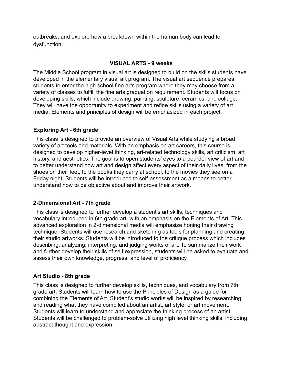outbreaks, and explore how a breakdown within the human body can lead to dysfunction.

## **VISUAL ARTS - 9 weeks**

The Middle School program in visual art is designed to build on the skills students have developed in the elementary visual art program. The visual art sequence prepares students to enter the high school fine arts program where they may choose from a variety of classes to fulfill the fine arts graduation requirement. Students will focus on developing skills, which include drawing, painting, sculpture, ceramics, and collage. They will have the opportunity to experiment and refine skills using a variety of art media. Elements and principles of design will be emphasized in each project.

## **Exploring Art - 6th grade**

This class is designed to provide an overview of Visual Arts while studying a broad variety of art tools and materials. With an emphasis on art careers, this course is designed to develop higher-level thinking, art-related technology skills, art criticism, art history, and aesthetics. The goal is to open students' eyes to a boarder view of art and to better understand how art and design affect every aspect of their daily lives, from the shoes on their feet, to the books they carry at school, to the movies they see on a Friday night. Students will be introduced to self-assessment as a means to better understand how to be objective about and improve their artwork.

# **2-Dimensional Art - 7th grade**

This class is designed to further develop a student's art skills, techniques and vocabulary introduced in 6th grade art, with an emphasis on the Elements of Art. This advanced exploration in 2-dimensional media will emphasize honing their drawing technique. Students will use research and sketching as tools for planning and creating their studio artworks. Students will be introduced to the critique process which includes describing, analyzing, interpreting, and judging works of art. To summarize their work and further develop their skills of self expression, students will be asked to evaluate and assess their own knowledge, progress, and level of proficiency.

## **Art Studio - 8th grade**

This class is designed to further develop skills, techniques, and vocabulary from 7th grade art. Students will learn how to use the Principles of Design as a guide for combining the Elements of Art. Student's studio works will be inspired by researching and reading what they have compiled about an artist, art style, or art movement. Students will learn to understand and appreciate the thinking process of an artist. Students will be challenged to problem-solve utilizing high level thinking skills, including abstract thought and expression.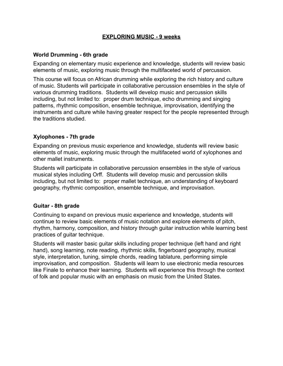## **EXPLORING MUSIC - 9 weeks**

## **World Drumming - 6th grade**

Expanding on elementary music experience and knowledge, students will review basic elements of music, exploring music through the multifaceted world of percussion.

This course will focus on African drumming while exploring the rich history and culture of music. Students will participate in collaborative percussion ensembles in the style of various drumming traditions. Students will develop music and percussion skills including, but not limited to: proper drum technique, echo drumming and singing patterns, rhythmic composition, ensemble technique, improvisation, identifying the instruments and culture while having greater respect for the people represented through the traditions studied.

## **Xylophones - 7th grade**

Expanding on previous music experience and knowledge, students will review basic elements of music, exploring music through the multifaceted world of xylophones and other mallet instruments.

Students will participate in collaborative percussion ensembles in the style of various musical styles including Orff. Students will develop music and percussion skills including, but not limited to: proper mallet technique, an understanding of keyboard geography, rhythmic composition, ensemble technique, and improvisation.

#### **Guitar - 8th grade**

Continuing to expand on previous music experience and knowledge, students will continue to review basic elements of music notation and explore elements of pitch, rhythm, harmony, composition, and history through guitar instruction while learning best practices of guitar technique.

Students will master basic guitar skills including proper technique (left hand and right hand), song learning, note reading, rhythmic skills, fingerboard geography, musical style, interpretation, tuning, simple chords, reading tablature, performing simple improvisation, and composition. Students will learn to use electronic media resources like Finale to enhance their learning. Students will experience this through the context of folk and popular music with an emphasis on music from the United States.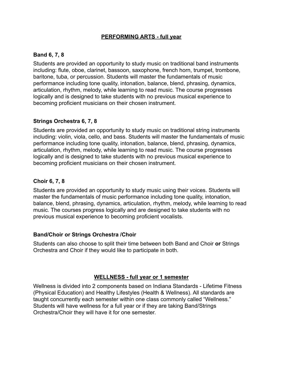## **PERFORMING ARTS - full year**

## **Band 6, 7, 8**

Students are provided an opportunity to study music on traditional band instruments including: flute, oboe, clarinet, bassoon, saxophone, french horn, trumpet, trombone, baritone, tuba, or percussion. Students will master the fundamentals of music performance including tone quality, intonation, balance, blend, phrasing, dynamics, articulation, rhythm, melody, while learning to read music. The course progresses logically and is designed to take students with no previous musical experience to becoming proficient musicians on their chosen instrument.

## **Strings Orchestra 6, 7, 8**

Students are provided an opportunity to study music on traditional string instruments including: violin, viola, cello, and bass. Students will master the fundamentals of music performance including tone quality, intonation, balance, blend, phrasing, dynamics, articulation, rhythm, melody, while learning to read music. The course progresses logically and is designed to take students with no previous musical experience to becoming proficient musicians on their chosen instrument.

## **Choir 6, 7, 8**

Students are provided an opportunity to study music using their voices. Students will master the fundamentals of music performance including tone quality, intonation, balance, blend, phrasing, dynamics, articulation, rhythm, melody, while learning to read music. The courses progress logically and are designed to take students with no previous musical experience to becoming proficient vocalists.

#### **Band/Choir or Strings Orchestra /Choir**

Students can also choose to split their time between both Band and Choir **or** Strings Orchestra and Choir if they would like to participate in both.

#### **WELLNESS - full year or 1 semester**

Wellness is divided into 2 components based on Indiana Standards - Lifetime Fitness (Physical Education) and Healthy Lifestyles (Health & Wellness). All standards are taught concurrently each semester within one class commonly called "Wellness." Students will have wellness for a full year or if they are taking Band/Strings Orchestra/Choir they will have it for one semester.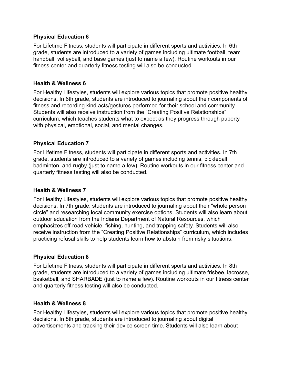#### **Physical Education 6**

For Lifetime Fitness, students will participate in different sports and activities. In 6th grade, students are introduced to a variety of games including ultimate football, team handball, volleyball, and base games (just to name a few). Routine workouts in our fitness center and quarterly fitness testing will also be conducted.

## **Health & Wellness 6**

For Healthy Lifestyles, students will explore various topics that promote positive healthy decisions. In 6th grade, students are introduced to journaling about their components of fitness and recording kind acts/gestures performed for their school and community. Students will also receive instruction from the "Creating Positive Relationships" curriculum, which teaches students what to expect as they progress through puberty with physical, emotional, social, and mental changes.

## **Physical Education 7**

For Lifetime Fitness, students will participate in different sports and activities. In 7th grade, students are introduced to a variety of games including tennis, pickleball, badminton, and rugby (just to name a few). Routine workouts in our fitness center and quarterly fitness testing will also be conducted.

#### **Health & Wellness 7**

For Healthy Lifestyles, students will explore various topics that promote positive healthy decisions. In 7th grade, students are introduced to journaling about their "whole person circle" and researching local community exercise options. Students will also learn about outdoor education from the Indiana Department of Natural Resources, which emphasizes off-road vehicle, fishing, hunting, and trapping safety. Students will also receive instruction from the "Creating Positive Relationships" curriculum, which includes practicing refusal skills to help students learn how to abstain from risky situations.

## **Physical Education 8**

For Lifetime Fitness, students will participate in different sports and activities. In 8th grade, students are introduced to a variety of games including ultimate frisbee, lacrosse, basketball, and SHARBADE (just to name a few). Routine workouts in our fitness center and quarterly fitness testing will also be conducted.

#### **Health & Wellness 8**

For Healthy Lifestyles, students will explore various topics that promote positive healthy decisions. In 8th grade, students are introduced to journaling about digital advertisements and tracking their device screen time. Students will also learn about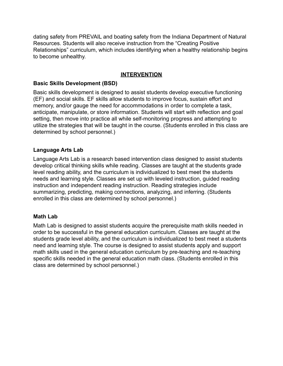dating safety from PREVAIL and boating safety from the Indiana Department of Natural Resources. Students will also receive instruction from the "Creating Positive Relationships" curriculum, which includes identifying when a healthy relationship begins to become unhealthy.

# **INTERVENTION**

## **Basic Skills Development (BSD)**

Basic skills development is designed to assist students develop executive functioning (EF) and social skills. EF skills allow students to improve focus, sustain effort and memory, and/or gauge the need for accommodations in order to complete a task, anticipate, manipulate, or store information. Students will start with reflection and goal setting, then move into practice all while self-monitoring progress and attempting to utilize the strategies that will be taught in the course. (Students enrolled in this class are determined by school personnel.)

## **Language Arts Lab**

Language Arts Lab is a research based intervention class designed to assist students develop critical thinking skills while reading. Classes are taught at the students grade level reading ability, and the curriculum is individualized to best meet the students needs and learning style. Classes are set up with leveled instruction, guided reading instruction and independent reading instruction. Reading strategies include summarizing, predicting, making connections, analyzing, and inferring. (Students enrolled in this class are determined by school personnel.)

#### **Math Lab**

Math Lab is designed to assist students acquire the prerequisite math skills needed in order to be successful in the general education curriculum. Classes are taught at the students grade level ability, and the curriculum is individualized to best meet a students need and learning style. The course is designed to assist students apply and support math skills used in the general education curriculum by pre-teaching and re-teaching specific skills needed in the general education math class. (Students enrolled in this class are determined by school personnel.)